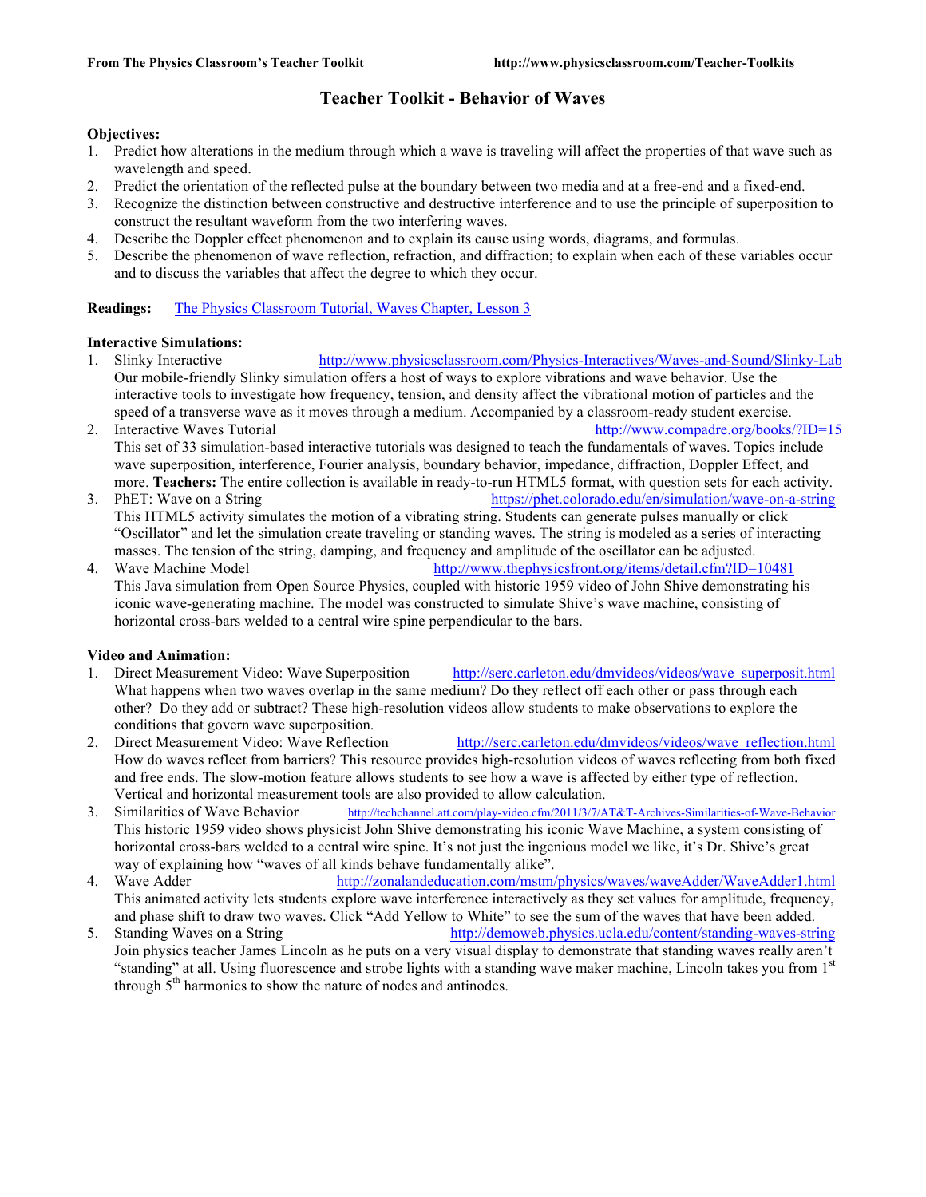## **Teacher Toolkit - Behavior of Waves**

### **Objectives:**

- 1. Predict how alterations in the medium through which a wave is traveling will affect the properties of that wave such as wavelength and speed.
- 2. Predict the orientation of the reflected pulse at the boundary between two media and at a free-end and a fixed-end.
- 3. Recognize the distinction between constructive and destructive interference and to use the principle of superposition to construct the resultant waveform from the two interfering waves.
- 4. Describe the Doppler effect phenomenon and to explain its cause using words, diagrams, and formulas.
- 5. Describe the phenomenon of wave reflection, refraction, and diffraction; to explain when each of these variables occur and to discuss the variables that affect the degree to which they occur.

## **Readings:** The Physics Classroom Tutorial, Waves Chapter, Lesson 3

### **Interactive Simulations:**

- 1. Slinky Interactive http://www.physicsclassroom.com/Physics-Interactives/Waves-and-Sound/Slinky-Lab Our mobile-friendly Slinky simulation offers a host of ways to explore vibrations and wave behavior. Use the interactive tools to investigate how frequency, tension, and density affect the vibrational motion of particles and the speed of a transverse wave as it moves through a medium. Accompanied by a classroom-ready student exercise.
- 2. Interactive Waves Tutorial http://www.compadre.org/books/?ID=15 This set of 33 simulation-based interactive tutorials was designed to teach the fundamentals of waves. Topics include wave superposition, interference, Fourier analysis, boundary behavior, impedance, diffraction, Doppler Effect, and more. **Teachers:** The entire collection is available in ready-to-run HTML5 format, with question sets for each activity.
- 3. PhET: Wave on a String https://phet.colorado.edu/en/simulation/wave-on-a-string This HTML5 activity simulates the motion of a vibrating string. Students can generate pulses manually or click "Oscillator" and let the simulation create traveling or standing waves. The string is modeled as a series of interacting masses. The tension of the string, damping, and frequency and amplitude of the oscillator can be adjusted.
- 4. Wave Machine Model http://www.thephysicsfront.org/items/detail.cfm?ID=10481 This Java simulation from Open Source Physics, coupled with historic 1959 video of John Shive demonstrating his iconic wave-generating machine. The model was constructed to simulate Shive's wave machine, consisting of horizontal cross-bars welded to a central wire spine perpendicular to the bars.

## **Video and Animation:**

- 1. Direct Measurement Video: Wave Superposition http://serc.carleton.edu/dmvideos/videos/wave\_superposit.html What happens when two waves overlap in the same medium? Do they reflect off each other or pass through each other? Do they add or subtract? These high-resolution videos allow students to make observations to explore the conditions that govern wave superposition.
- 2. Direct Measurement Video: Wave Reflection http://serc.carleton.edu/dmvideos/videos/wave\_reflection.html How do waves reflect from barriers? This resource provides high-resolution videos of waves reflecting from both fixed and free ends. The slow-motion feature allows students to see how a wave is affected by either type of reflection. Vertical and horizontal measurement tools are also provided to allow calculation.
- 3. Similarities of Wave Behavior http://techchannel.att.com/play-video.cfm/2011/3/7/AT&T-Archives-Similarities-of-Wave-Behavior This historic 1959 video shows physicist John Shive demonstrating his iconic Wave Machine, a system consisting of horizontal cross-bars welded to a central wire spine. It's not just the ingenious model we like, it's Dr. Shive's great way of explaining how "waves of all kinds behave fundamentally alike".
- 4. Wave Adder http://zonalandeducation.com/mstm/physics/waveS/waveAdder/WaveAdder1.html This animated activity lets students explore wave interference interactively as they set values for amplitude, frequency, and phase shift to draw two waves. Click "Add Yellow to White" to see the sum of the waves that have been added.
- 5. Standing Waves on a String http://demoweb.physics.ucla.edu/content/standing-waves-string Join physics teacher James Lincoln as he puts on a very visual display to demonstrate that standing waves really aren't "standing" at all. Using fluorescence and strobe lights with a standing wave maker machine, Lincoln takes you from 1<sup>st</sup> through  $5<sup>th</sup>$  harmonics to show the nature of nodes and antinodes.